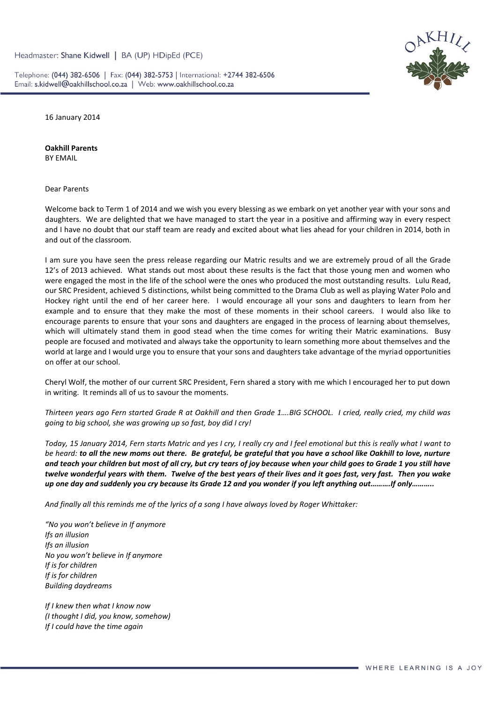

Telephone: (044) 382-6506 | Fax: (044) 382-5753 | International: +2744 382-6506 Email: s.kidwell@oakhillschool.co.za | Web: www.oakhillschool.co.za

16 January 2014

**Oakhill Parents**

BY EMAIL

Dear Parents

Welcome back to Term 1 of 2014 and we wish you every blessing as we embark on yet another year with your sons and daughters. We are delighted that we have managed to start the year in a positive and affirming way in every respect and I have no doubt that our staff team are ready and excited about what lies ahead for your children in 2014, both in and out of the classroom.

I am sure you have seen the press release regarding our Matric results and we are extremely proud of all the Grade 12's of 2013 achieved. What stands out most about these results is the fact that those young men and women who were engaged the most in the life of the school were the ones who produced the most outstanding results. Lulu Read, our SRC President, achieved 5 distinctions, whilst being committed to the Drama Club as well as playing Water Polo and Hockey right until the end of her career here. I would encourage all your sons and daughters to learn from her example and to ensure that they make the most of these moments in their school careers. I would also like to encourage parents to ensure that your sons and daughters are engaged in the process of learning about themselves, which will ultimately stand them in good stead when the time comes for writing their Matric examinations. Busy people are focused and motivated and always take the opportunity to learn something more about themselves and the world at large and I would urge you to ensure that your sons and daughters take advantage of the myriad opportunities on offer at our school.

Cheryl Wolf, the mother of our current SRC President, Fern shared a story with me which I encouraged her to put down in writing. It reminds all of us to savour the moments.

*Thirteen years ago Fern started Grade R at Oakhill and then Grade 1….BIG SCHOOL. I cried, really cried, my child was going to big school, she was growing up so fast, boy did I cry!*

*Today, 15 January 2014, Fern starts Matric and yes I cry, I really cry and I feel emotional but this is really what I want to be heard: to all the new moms out there. Be grateful, be grateful that you have a school like Oakhill to love, nurture and teach your children but most of all cry, but cry tears of joy because when your child goes to Grade 1 you still have twelve wonderful years with them. Twelve of the best years of their lives and it goes fast, very fast. Then you wake up one day and suddenly you cry because its Grade 12 and you wonder if you left anything out……….If only………..*

*And finally all this reminds me of the lyrics of a song I have always loved by Roger Whittaker:*

*"No you won't believe in If anymore Ifs an illusion Ifs an illusion No you won't believe in If anymore If is for children If is for children Building daydreams*

*If I knew then what I know now (I thought I did, you know, somehow) If I could have the time again*